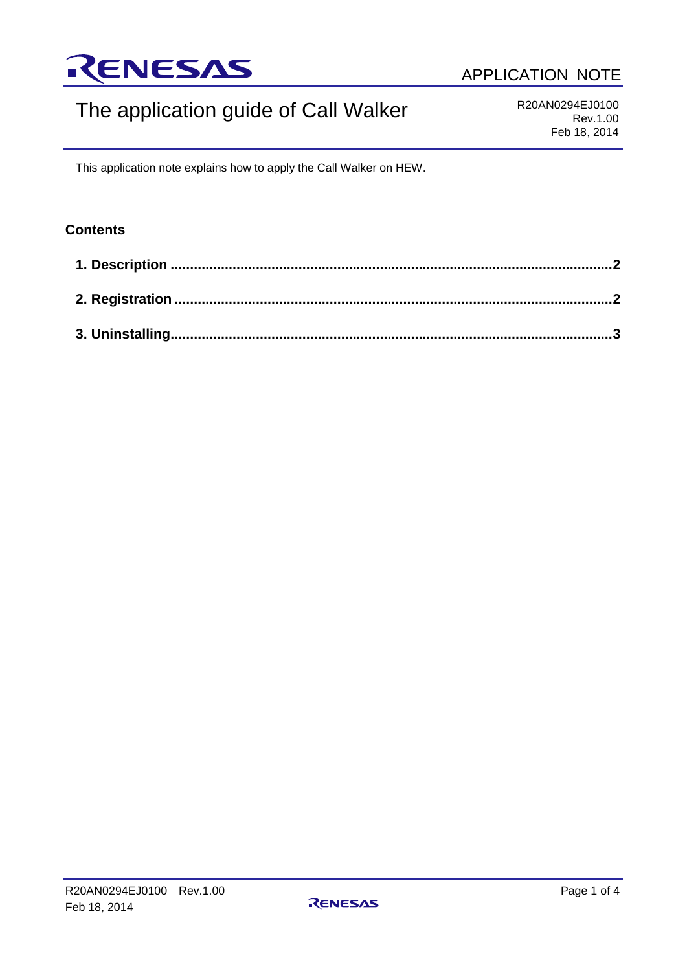

# The application guide of Call Walker

R20AN0294EJ0100 Rev.1.00 Feb 18, 2014

This application note explains how to apply the Call Walker on HEW.

### **Contents**

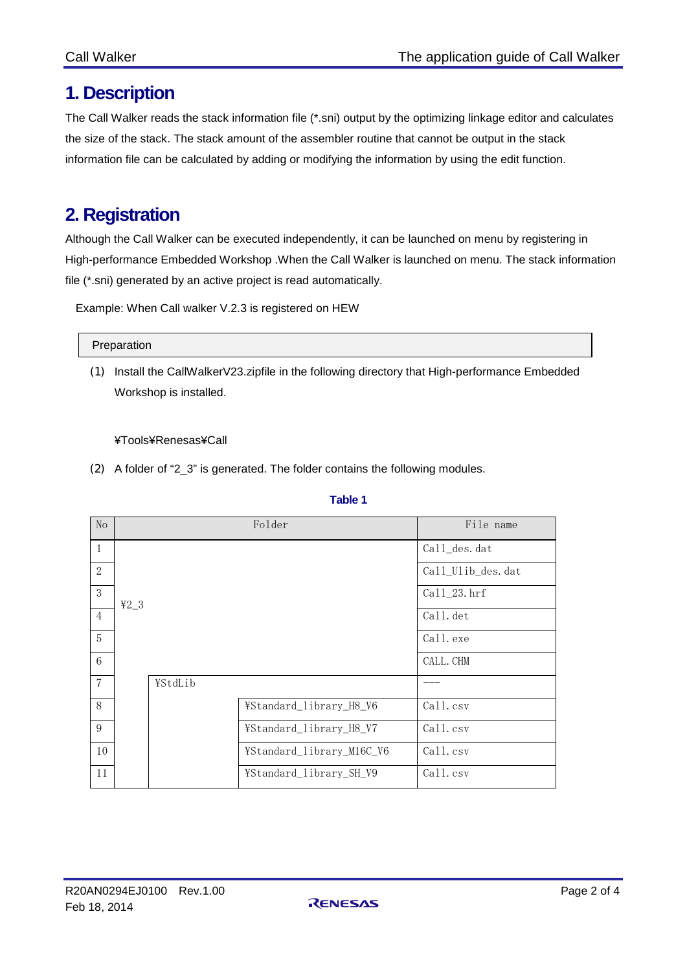## <span id="page-1-0"></span>**1. Description**

The Call Walker reads the stack information file (\*.sni) output by the optimizing linkage editor and calculates the size of the stack. The stack amount of the assembler routine that cannot be output in the stack information file can be calculated by adding or modifying the information by using the edit function.

## <span id="page-1-1"></span>**2. Registration**

Although the Call Walker can be executed independently, it can be launched on menu by registering in High-performance Embedded Workshop .When the Call Walker is launched on menu. The stack information file (\*.sni) generated by an active project is read automatically.

Example: When Call walker V.2.3 is registered on HEW

#### Preparation

(1) Install the CallWalkerV23.zipfile in the following directory that High-performance Embedded Workshop is installed.

#### ¥Tools¥Renesas¥Call

(2) A folder of "2\_3" is generated. The folder contains the following modules.

| N <sub>o</sub> |        |         | Folder                    | File name         |
|----------------|--------|---------|---------------------------|-------------------|
| $\mathbf{1}$   |        |         |                           | Call_des.dat      |
| 2              |        |         |                           | Call_Ulib_des.dat |
| 3              | $42-3$ |         |                           | Call_23.hrf       |
| $\overline{4}$ |        |         |                           | Call.det          |
| 5              |        |         |                           | Call. exe         |
| 6              |        |         |                           | CALL. CHM         |
| 7              |        | ¥StdLib |                           |                   |
| 8              |        |         | ¥Standard_library_H8_V6   | Call.csv          |
| 9              |        |         | ¥Standard_library_H8_V7   | Call.csv          |
| 10             |        |         | ¥Standard_library_M16C_V6 | Call.csv          |
| 11             |        |         | ¥Standard_library_SH_V9   | Call.csv          |

### **Table 1**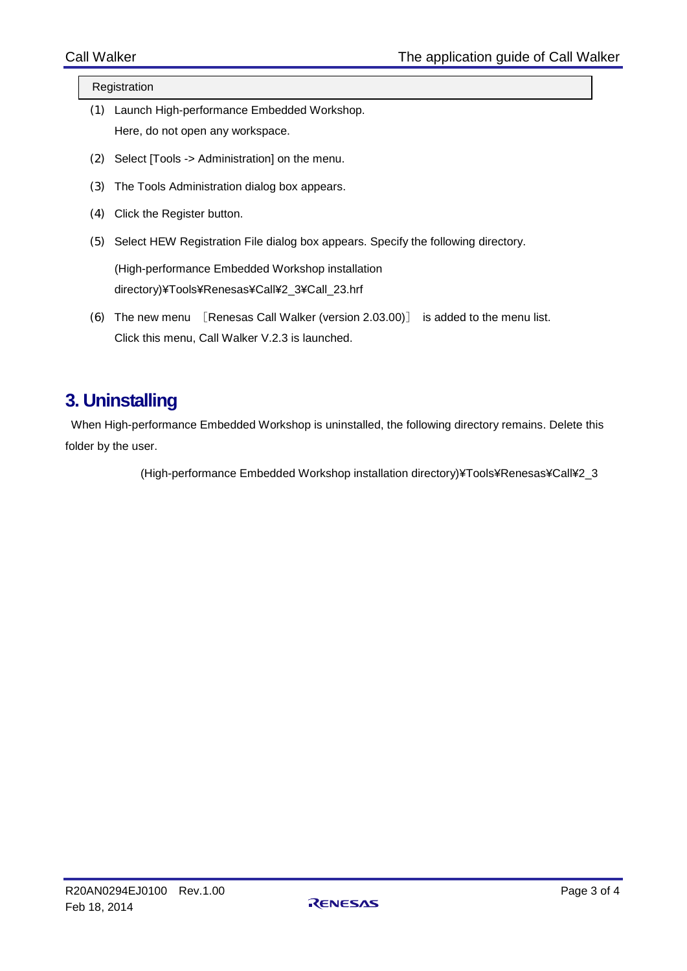#### Registration

- (1) Launch High-performance Embedded Workshop. Here, do not open any workspace.
- (2) Select [Tools -> Administration] on the menu.
- (3) The Tools Administration dialog box appears.
- (4) Click the Register button.
- (5) Select HEW Registration File dialog box appears. Specify the following directory.

(High-performance Embedded Workshop installation directory)¥Tools¥Renesas¥Call¥2\_3¥Call\_23.hrf

(6) The new menu [Renesas Call Walker (version 2.03.00)] is added to the menu list. Click this menu, Call Walker V.2.3 is launched.

### <span id="page-2-0"></span>**3. Uninstalling**

When High-performance Embedded Workshop is uninstalled, the following directory remains. Delete this folder by the user.

(High-performance Embedded Workshop installation directory)¥Tools¥Renesas¥Call¥2\_3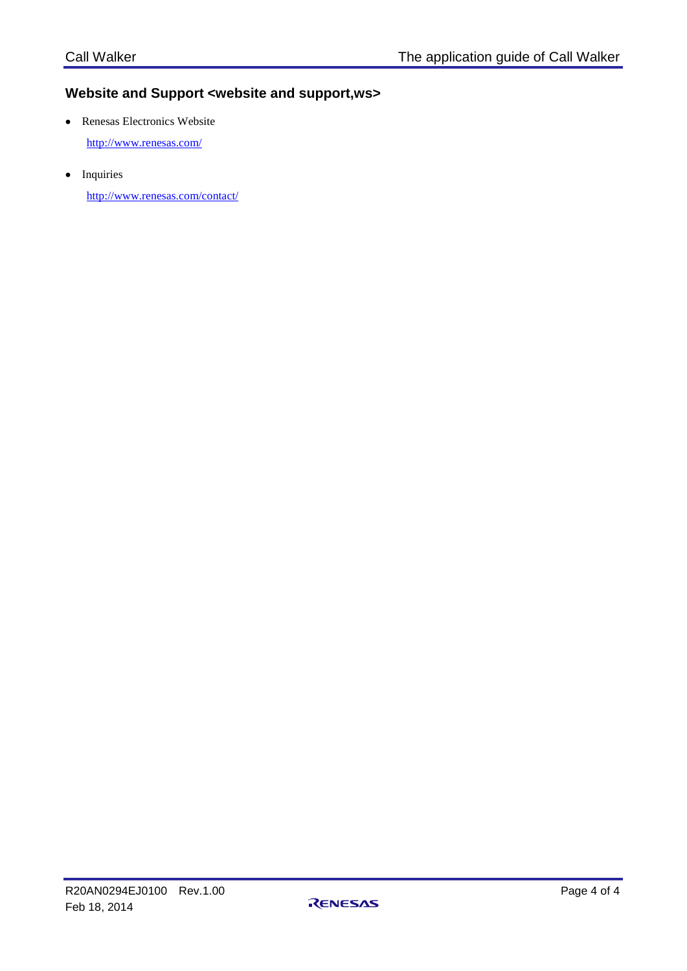### **Website and Support <website and support,ws>**

• Renesas Electronics Website

<http://www.renesas.com/>

• Inquiries

<http://www.renesas.com/contact/>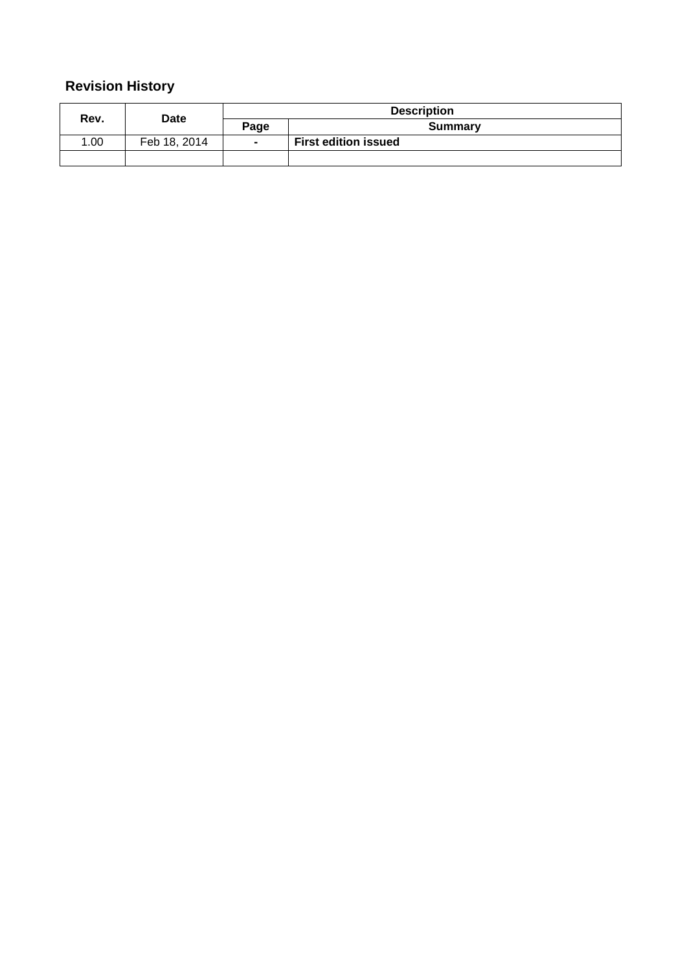## **Revision History**

| Rev. | <b>Date</b>  |                | <b>Description</b>          |
|------|--------------|----------------|-----------------------------|
|      |              | Page           | Summary                     |
| 1.00 | Feb 18, 2014 | $\blacksquare$ | <b>First edition issued</b> |
|      |              |                |                             |